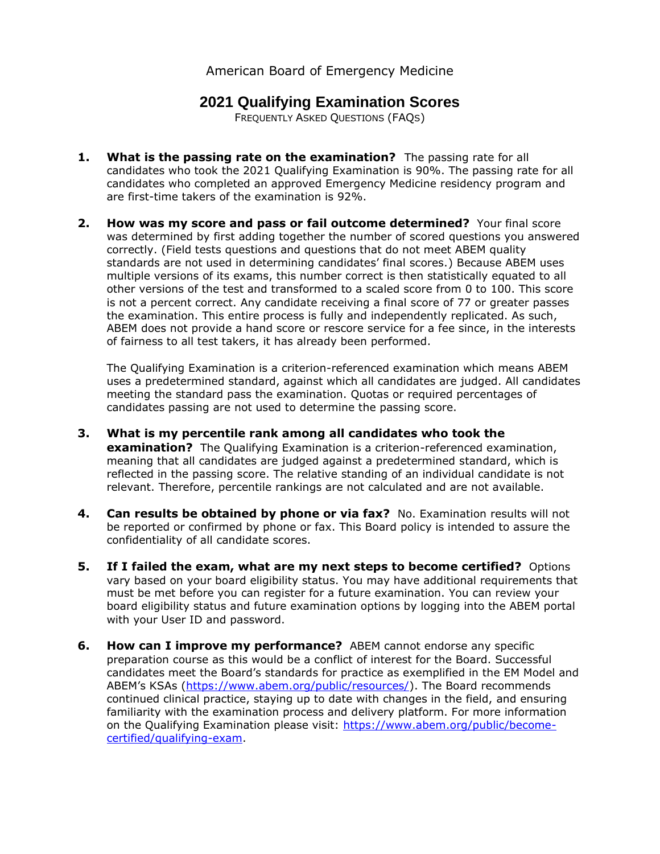## American Board of Emergency Medicine

## **2021 Qualifying Examination Scores**

FREQUENTLY ASKED QUESTIONS (FAQS)

- **1. What is the passing rate on the examination?** The passing rate for all candidates who took the 2021 Qualifying Examination is 90%. The passing rate for all candidates who completed an approved Emergency Medicine residency program and are first-time takers of the examination is 92%.
- **2. How was my score and pass or fail outcome determined?** Your final score was determined by first adding together the number of scored questions you answered correctly. (Field tests questions and questions that do not meet ABEM quality standards are not used in determining candidates' final scores.) Because ABEM uses multiple versions of its exams, this number correct is then statistically equated to all other versions of the test and transformed to a scaled score from 0 to 100. This score is not a percent correct. Any candidate receiving a final score of 77 or greater passes the examination. This entire process is fully and independently replicated. As such, ABEM does not provide a hand score or rescore service for a fee since, in the interests of fairness to all test takers, it has already been performed.

The Qualifying Examination is a criterion-referenced examination which means ABEM uses a predetermined standard, against which all candidates are judged. All candidates meeting the standard pass the examination. Quotas or required percentages of candidates passing are not used to determine the passing score.

- **3. What is my percentile rank among all candidates who took the examination?** The Qualifying Examination is a criterion-referenced examination, meaning that all candidates are judged against a predetermined standard, which is reflected in the passing score. The relative standing of an individual candidate is not relevant. Therefore, percentile rankings are not calculated and are not available.
- **4. Can results be obtained by phone or via fax?** No. Examination results will not be reported or confirmed by phone or fax. This Board policy is intended to assure the confidentiality of all candidate scores.
- **5. If I failed the exam, what are my next steps to become certified?** Options vary based on your board eligibility status. You may have additional requirements that must be met before you can register for a future examination. You can review your board eligibility status and future examination options by logging into the ABEM portal with your User ID and password.
- **6. How can I improve my performance?** ABEM cannot endorse any specific preparation course as this would be a conflict of interest for the Board. Successful candidates meet the Board's standards for practice as exemplified in the EM Model and ABEM's KSAs [\(https://www.abem.org/public/resources/\)](https://www.abem.org/public/resources/). The Board recommends continued clinical practice, staying up to date with changes in the field, and ensuring familiarity with the examination process and delivery platform. For more information on the Qualifying Examination please visit: [https://www.abem.org/public/become](https://www.abem.org/public/become-certified/qualifying-exam)[certified/qualifying-exam.](https://www.abem.org/public/become-certified/qualifying-exam)